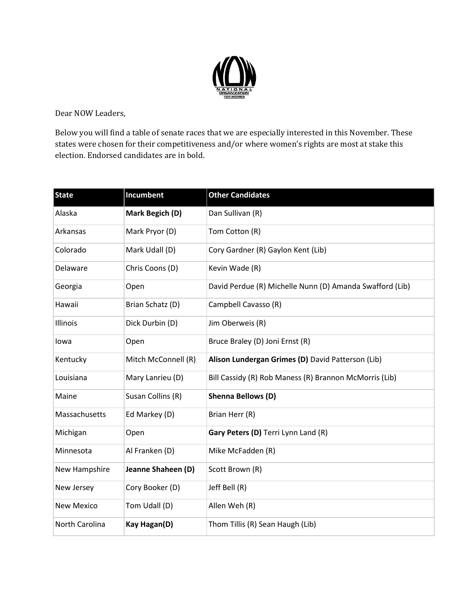

Dear NOW Leaders,

Below you will find a table of senate races that we are especially interested in this November. These states were chosen for their competitiveness and/or where women's rights are most at stake this election. Endorsed candidates are in bold.

| <b>State</b>      | Incumbent           | <b>Other Candidates</b>                                  |
|-------------------|---------------------|----------------------------------------------------------|
| Alaska            | Mark Begich (D)     | Dan Sullivan (R)                                         |
| Arkansas          | Mark Pryor (D)      | Tom Cotton (R)                                           |
| Colorado          | Mark Udall (D)      | Cory Gardner (R) Gaylon Kent (Lib)                       |
| Delaware          | Chris Coons (D)     | Kevin Wade (R)                                           |
| Georgia           | Open                | David Perdue (R) Michelle Nunn (D) Amanda Swafford (Lib) |
| Hawaii            | Brian Schatz (D)    | Campbell Cavasso (R)                                     |
| Illinois          | Dick Durbin (D)     | Jim Oberweis (R)                                         |
| Iowa              | Open                | Bruce Braley (D) Joni Ernst (R)                          |
| Kentucky          | Mitch McConnell (R) | Alison Lundergan Grimes (D) David Patterson (Lib)        |
| Louisiana         | Mary Lanrieu (D)    | Bill Cassidy (R) Rob Maness (R) Brannon McMorris (Lib)   |
| Maine             | Susan Collins (R)   | <b>Shenna Bellows (D)</b>                                |
| Massachusetts     | Ed Markey (D)       | Brian Herr (R)                                           |
| Michigan          | Open                | Gary Peters (D) Terri Lynn Land (R)                      |
| Minnesota         | Al Franken (D)      | Mike McFadden (R)                                        |
| New Hampshire     | Jeanne Shaheen (D)  | Scott Brown (R)                                          |
| New Jersey        | Cory Booker (D)     | Jeff Bell (R)                                            |
| <b>New Mexico</b> | Tom Udall (D)       | Allen Weh (R)                                            |
| North Carolina    | <b>Kay Hagan(D)</b> | Thom Tillis (R) Sean Haugh (Lib)                         |